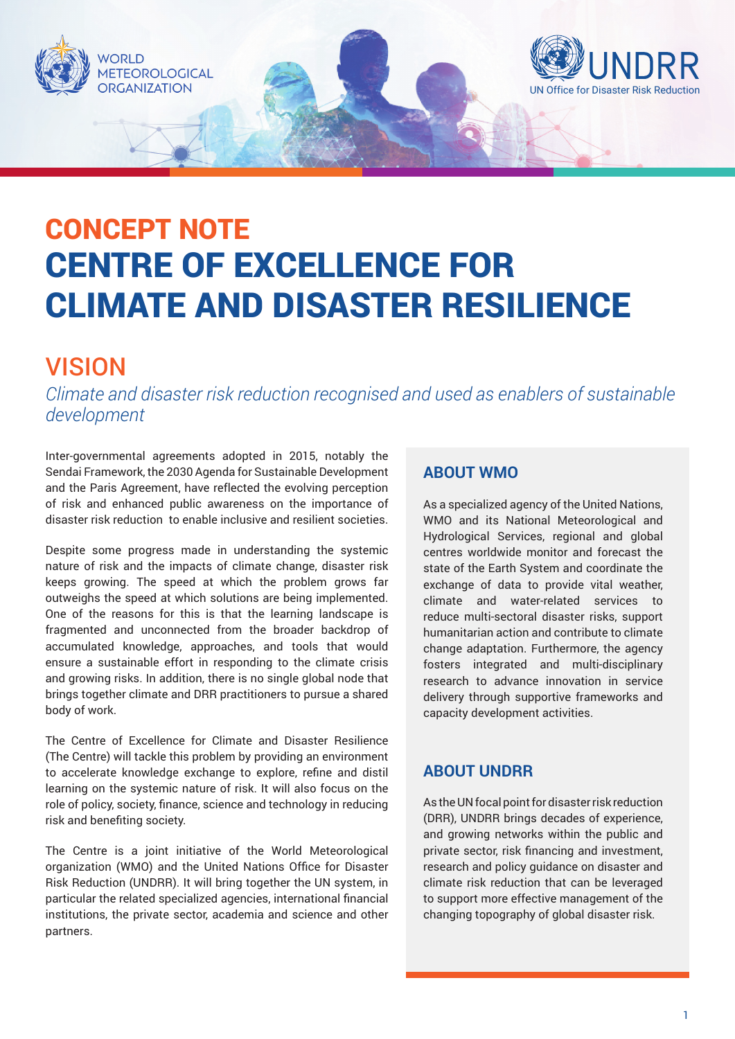

# CENTRE OF EXCELLENCE FOR CLIMATE AND DISASTER RESILIENCE CONCEPT NOTE

### VISION

*Climate and disaster risk reduction recognised and used as enablers of sustainable development* 

Inter-governmental agreements adopted in 2015, notably the Sendai Framework, the 2030 Agenda for Sustainable Development and the Paris Agreement, have reflected the evolving perception of risk and enhanced public awareness on the importance of disaster risk reduction to enable inclusive and resilient societies.

Despite some progress made in understanding the systemic nature of risk and the impacts of climate change, disaster risk keeps growing. The speed at which the problem grows far outweighs the speed at which solutions are being implemented. One of the reasons for this is that the learning landscape is fragmented and unconnected from the broader backdrop of accumulated knowledge, approaches, and tools that would ensure a sustainable effort in responding to the climate crisis and growing risks. In addition, there is no single global node that brings together climate and DRR practitioners to pursue a shared body of work.

The Centre of Excellence for Climate and Disaster Resilience (The Centre) will tackle this problem by providing an environment to accelerate knowledge exchange to explore, refine and distil learning on the systemic nature of risk. It will also focus on the role of policy, society, finance, science and technology in reducing risk and benefiting society.

The Centre is a joint initiative of the World Meteorological organization (WMO) and the United Nations Office for Disaster Risk Reduction (UNDRR). It will bring together the UN system, in particular the related specialized agencies, international financial institutions, the private sector, academia and science and other partners.

#### **ABOUT WMO**

As a specialized agency of the United Nations, WMO and its National Meteorological and Hydrological Services, regional and global centres worldwide monitor and forecast the state of the Earth System and coordinate the exchange of data to provide vital weather, climate and water-related services to reduce multi-sectoral disaster risks, support humanitarian action and contribute to climate change adaptation. Furthermore, the agency fosters integrated and multi-disciplinary research to advance innovation in service delivery through supportive frameworks and capacity development activities.

#### **ABOUT UNDRR**

As the UN focal point for disaster risk reduction (DRR), UNDRR brings decades of experience, and growing networks within the public and private sector, risk financing and investment, research and policy guidance on disaster and climate risk reduction that can be leveraged to support more effective management of the changing topography of global disaster risk.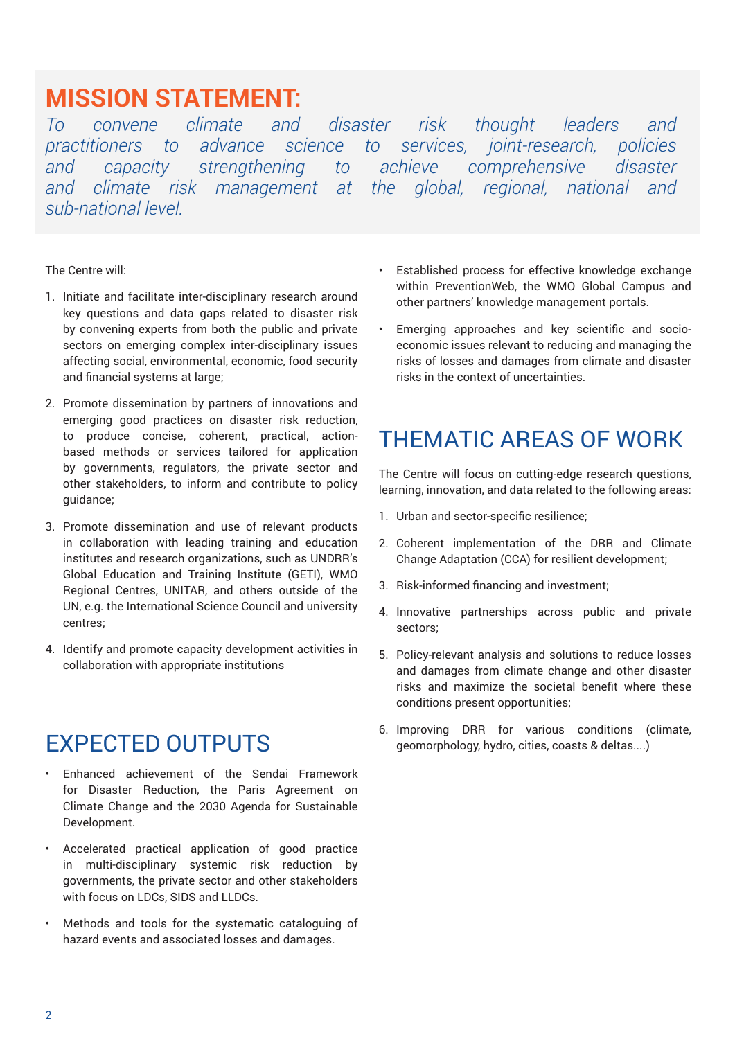## **MISSION STATEMENT:**

*To convene climate and disaster risk thought leaders and practitioners to advance science to services, joint-research, policies and capacity strengthening to achieve comprehensive disaster and climate risk management at the global, regional, national and sub-national level.*

The Centre will:

- 1. Initiate and facilitate inter-disciplinary research around key questions and data gaps related to disaster risk by convening experts from both the public and private sectors on emerging complex inter-disciplinary issues affecting social, environmental, economic, food security and financial systems at large;
- 2. Promote dissemination by partners of innovations and emerging good practices on disaster risk reduction, to produce concise, coherent, practical, actionbased methods or services tailored for application by governments, regulators, the private sector and other stakeholders, to inform and contribute to policy guidance;
- 3. Promote dissemination and use of relevant products in collaboration with leading training and education institutes and research organizations, such as UNDRR's Global Education and Training Institute (GETI), WMO Regional Centres, UNITAR, and others outside of the UN, e.g. the International Science Council and university centres;
- 4. Identify and promote capacity development activities in collaboration with appropriate institutions

#### EXPECTED OUTPUTS

- Enhanced achievement of the Sendai Framework for Disaster Reduction, the Paris Agreement on Climate Change and the 2030 Agenda for Sustainable Development.
- Accelerated practical application of good practice in multi-disciplinary systemic risk reduction by governments, the private sector and other stakeholders with focus on LDCs, SIDS and LLDCs.
- Methods and tools for the systematic cataloguing of hazard events and associated losses and damages.
- Established process for effective knowledge exchange within PreventionWeb, the WMO Global Campus and other partners' knowledge management portals.
- Emerging approaches and key scientific and socioeconomic issues relevant to reducing and managing the risks of losses and damages from climate and disaster risks in the context of uncertainties.

### THEMATIC AREAS OF WORK

The Centre will focus on cutting-edge research questions, learning, innovation, and data related to the following areas:

- 1. Urban and sector-specific resilience;
- 2. Coherent implementation of the DRR and Climate Change Adaptation (CCA) for resilient development;
- 3. Risk-informed financing and investment;
- 4. Innovative partnerships across public and private sectors;
- 5. Policy-relevant analysis and solutions to reduce losses and damages from climate change and other disaster risks and maximize the societal benefit where these conditions present opportunities;
- 6. Improving DRR for various conditions (climate, geomorphology, hydro, cities, coasts & deltas....)